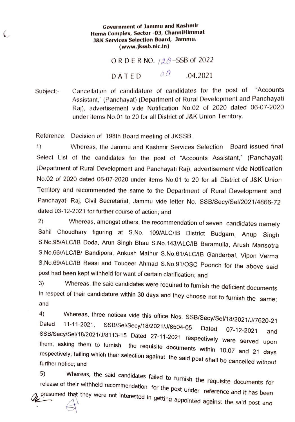## Government of Jammu and Kashmir Hema Complex, Sector -03, ChanniHimmat J&K Services Selection Board, Jammu. (www.jkssb.nic.in)

ORDER NO.  $128$ -SSB of 2022

DATED  $\delta \hat{O}$  .04.2021

Subject: Cancellation of candidature of candidates for the post of "Accounts Assistant," (Panchayat) (Department of Rural Development and Panchayati Raj), advertisement vide Notification No.02 of 2020 dated 06-07-20220 under items No.01 to 20 for all District of J&K Union Territory.

Reference: Decision of 198th Board meeting of JKSSB.

1) Whereas, the Jammu and Kashmir Services Selection Board issued final Select List of the candidates for the post of "Accounts Assistant," (Panchayat) (Department of Rural Development and Panchayati Raj), advertisement vide Notification No.02 of 2020 dated 06-07-2020 under items No.01 to 20 for all District of J&K Union Terrtory and recommended the same to the Department of Rural Development and Panchayati Raj, Civil Secretariat, Jammu vide letter No. SSB/Secy/Sel/2021/4866-72 dated 03-12-2021 for further course of action; and

2) Whereas, amongst others, the recommendation of seven candidates namely Sahil Choudhary figuring at S.No. 109/ALC/B District Budgam, Anup Singh S.No.95/ALC/IB Doda, Arun Singh Bhau S.No.143/ALC/IB Baramulla, Arush Mansotra S.No.66/ALC/IB/ Bandipora, Ankush Mathur S.No.61/ALC/IB Ganderbal, Vipon Verma S.No.69/ALC/IB Reasi and Touqeer Ahmad S.No.91/0SC Poonch for the above said post had been kept withheld for want of certain clarification; and

3) Nhereas, the said candidates were required to furnish the deficient documents in respect of their candidature within 30 days and they choose not to furnish the same;<br>and

4) Whereas, three notices vide this office Nos. SSB/Secy/Sel/18/2021/J/7620-21<br>Dated 11-11-2021, SSB/Sel/Secy/18/2021/J/8504-05 Dated 07-12-2021 and<br>SSB/Secy/Sel/18/2021/J/8113-15 Dated 27-11-2021 respectively were served

Whereas, the said candidates failed to furnish the requisite documents for release of their withheld recommendation for the post under reference and it has been 5) presumed that they were not interested in getting appointed against the said post and